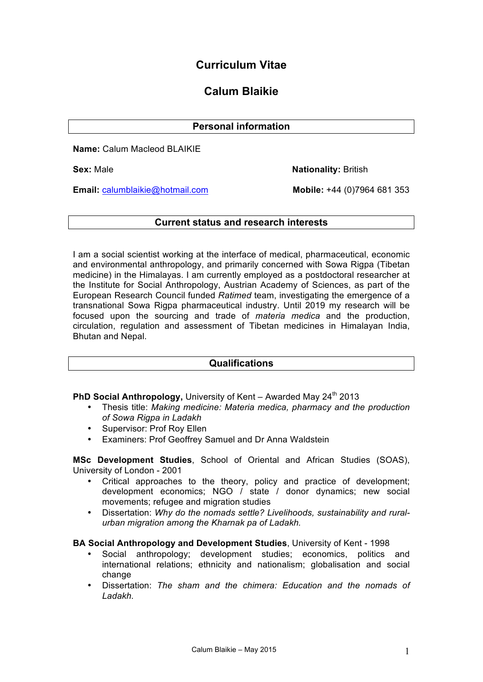# **Curriculum Vitae**

# **Calum Blaikie**

# **Personal information**

**Name:** Calum Macleod BLAIKIE

**Sex:** Male **Nationality:** British

**Email:** calumblaikie@hotmail.com **Mobile:** +44 (0)7964 681 353

## **Current status and research interests**

I am a social scientist working at the interface of medical, pharmaceutical, economic and environmental anthropology, and primarily concerned with Sowa Rigpa (Tibetan medicine) in the Himalayas. I am currently employed as a postdoctoral researcher at the Institute for Social Anthropology, Austrian Academy of Sciences, as part of the European Research Council funded *Ratimed* team, investigating the emergence of a transnational Sowa Rigpa pharmaceutical industry. Until 2019 my research will be focused upon the sourcing and trade of *materia medica* and the production, circulation, regulation and assessment of Tibetan medicines in Himalayan India, Bhutan and Nepal.

# **Qualifications**

PhD Social Anthropology, University of Kent – Awarded May 24<sup>th</sup> 2013

- Thesis title: *Making medicine: Materia medica, pharmacy and the production of Sowa Rigpa in Ladakh*
- Supervisor: Prof Roy Ellen
- Examiners: Prof Geoffrey Samuel and Dr Anna Waldstein

**MSc Development Studies**, School of Oriental and African Studies (SOAS), University of London - 2001

- Critical approaches to the theory, policy and practice of development; development economics; NGO / state / donor dynamics; new social movements; refugee and migration studies
- Dissertation: *Why do the nomads settle? Livelihoods, sustainability and ruralurban migration among the Kharnak pa of Ladakh.*

#### **BA Social Anthropology and Development Studies**, University of Kent - 1998

- Social anthropology; development studies; economics, politics and international relations; ethnicity and nationalism; globalisation and social change
- Dissertation: *The sham and the chimera: Education and the nomads of Ladakh.*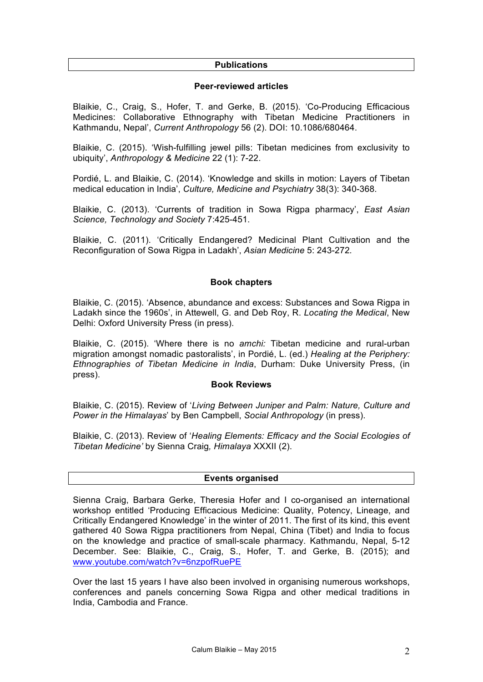#### **Publications**

#### **Peer-reviewed articles**

Blaikie, C., Craig, S., Hofer, T. and Gerke, B. (2015). 'Co-Producing Efficacious Medicines: Collaborative Ethnography with Tibetan Medicine Practitioners in Kathmandu, Nepal', *Current Anthropology* 56 (2). DOI: 10.1086/680464.

Blaikie, C. (2015). 'Wish-fulfilling jewel pills: Tibetan medicines from exclusivity to ubiquity', *Anthropology & Medicine* 22 (1): 7-22.

Pordié, L. and Blaikie, C. (2014). 'Knowledge and skills in motion: Layers of Tibetan medical education in India', *Culture, Medicine and Psychiatry* 38(3): 340-368.

Blaikie, C. (2013). 'Currents of tradition in Sowa Rigpa pharmacy', *East Asian Science, Technology and Society* 7:425-451.

Blaikie, C. (2011). 'Critically Endangered? Medicinal Plant Cultivation and the Reconfiguration of Sowa Rigpa in Ladakh', *Asian Medicine* 5: 243-272*.*

## **Book chapters**

Blaikie, C. (2015). 'Absence, abundance and excess: Substances and Sowa Rigpa in Ladakh since the 1960s', in Attewell, G. and Deb Roy, R. *Locating the Medical*, New Delhi: Oxford University Press (in press).

Blaikie, C. (2015). 'Where there is no *amchi:* Tibetan medicine and rural-urban migration amongst nomadic pastoralists', in Pordié, L. (ed.) *Healing at the Periphery: Ethnographies of Tibetan Medicine in India*, Durham: Duke University Press, (in press).

#### **Book Reviews**

Blaikie, C. (2015). Review of '*Living Between Juniper and Palm: Nature, Culture and Power in the Himalayas*' by Ben Campbell, *Social Anthropology* (in press).

Blaikie, C. (2013). Review of '*Healing Elements: Efficacy and the Social Ecologies of Tibetan Medicine'* by Sienna Craig*, Himalaya* XXXII (2).

#### **Events organised**

Sienna Craig, Barbara Gerke, Theresia Hofer and I co-organised an international workshop entitled 'Producing Efficacious Medicine: Quality, Potency, Lineage, and Critically Endangered Knowledge' in the winter of 2011. The first of its kind, this event gathered 40 Sowa Rigpa practitioners from Nepal, China (Tibet) and India to focus on the knowledge and practice of small-scale pharmacy. Kathmandu, Nepal, 5-12 December. See: Blaikie, C., Craig, S., Hofer, T. and Gerke, B. (2015); and www.youtube.com/watch?v=6nzpofRuePE

Over the last 15 years I have also been involved in organising numerous workshops, conferences and panels concerning Sowa Rigpa and other medical traditions in India, Cambodia and France.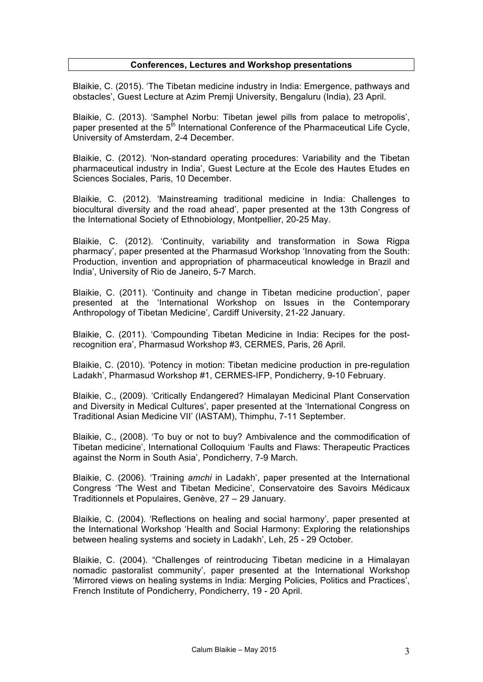#### **Conferences, Lectures and Workshop presentations**

Blaikie, C. (2015). 'The Tibetan medicine industry in India: Emergence, pathways and obstacles', Guest Lecture at Azim Premji University, Bengaluru (India), 23 April.

Blaikie, C. (2013). 'Samphel Norbu: Tibetan jewel pills from palace to metropolis', paper presented at the  $5<sup>th</sup>$  International Conference of the Pharmaceutical Life Cycle, University of Amsterdam, 2-4 December.

Blaikie, C. (2012). 'Non-standard operating procedures: Variability and the Tibetan pharmaceutical industry in India', Guest Lecture at the Ecole des Hautes Etudes en Sciences Sociales, Paris, 10 December.

Blaikie, C. (2012). 'Mainstreaming traditional medicine in India: Challenges to biocultural diversity and the road ahead', paper presented at the 13th Congress of the International Society of Ethnobiology, Montpellier, 20-25 May.

Blaikie, C. (2012). 'Continuity, variability and transformation in Sowa Rigpa pharmacy', paper presented at the Pharmasud Workshop 'Innovating from the South: Production, invention and appropriation of pharmaceutical knowledge in Brazil and India', University of Rio de Janeiro, 5-7 March.

Blaikie, C. (2011). 'Continuity and change in Tibetan medicine production', paper presented at the 'International Workshop on Issues in the Contemporary Anthropology of Tibetan Medicine', Cardiff University, 21-22 January.

Blaikie, C. (2011). 'Compounding Tibetan Medicine in India: Recipes for the postrecognition era', Pharmasud Workshop #3, CERMES, Paris, 26 April.

Blaikie, C. (2010). 'Potency in motion: Tibetan medicine production in pre-regulation Ladakh', Pharmasud Workshop #1, CERMES-IFP, Pondicherry, 9-10 February.

Blaikie, C., (2009). 'Critically Endangered? Himalayan Medicinal Plant Conservation and Diversity in Medical Cultures', paper presented at the 'International Congress on Traditional Asian Medicine VII' (IASTAM), Thimphu, 7-11 September.

Blaikie, C., (2008). 'To buy or not to buy? Ambivalence and the commodification of Tibetan medicine', International Colloquium 'Faults and Flaws: Therapeutic Practices against the Norm in South Asia', Pondicherry, 7-9 March.

Blaikie, C. (2006). 'Training *amchi* in Ladakh', paper presented at the International Congress 'The West and Tibetan Medicine', Conservatoire des Savoirs Médicaux Traditionnels et Populaires, Genève, 27 – 29 January.

Blaikie, C. (2004). 'Reflections on healing and social harmony', paper presented at the International Workshop 'Health and Social Harmony: Exploring the relationships between healing systems and society in Ladakh', Leh, 25 - 29 October.

Blaikie, C. (2004). "Challenges of reintroducing Tibetan medicine in a Himalayan nomadic pastoralist community', paper presented at the International Workshop 'Mirrored views on healing systems in India: Merging Policies, Politics and Practices', French Institute of Pondicherry, Pondicherry, 19 - 20 April.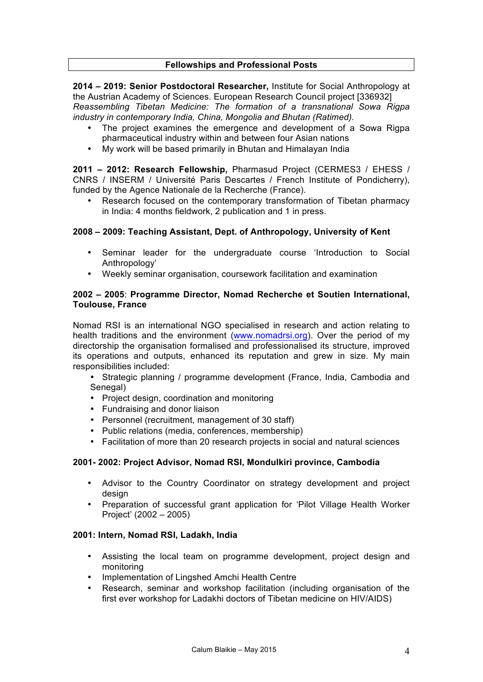## **Fellowships and Professional Posts**

**2014 – 2019: Senior Postdoctoral Researcher,** Institute for Social Anthropology at the Austrian Academy of Sciences. European Research Council project [336932] *Reassembling Tibetan Medicine: The formation of a transnational Sowa Rigpa industry in contemporary India, China, Mongolia and Bhutan (Ratimed).* 

- The project examines the emergence and development of a Sowa Rigpa pharmaceutical industry within and between four Asian nations
- My work will be based primarily in Bhutan and Himalayan India

**2011 – 2012: Research Fellowship,** Pharmasud Project (CERMES3 / EHESS / CNRS / INSERM / Université Paris Descartes / French Institute of Pondicherry), funded by the Agence Nationale de la Recherche (France).

Research focused on the contemporary transformation of Tibetan pharmacy in India: 4 months fieldwork, 2 publication and 1 in press.

## **2008 – 2009: Teaching Assistant, Dept. of Anthropology, University of Kent**

- Seminar leader for the undergraduate course 'Introduction to Social Anthropology'
- Weekly seminar organisation, coursework facilitation and examination

## **2002 – 2005**: **Programme Director, Nomad Recherche et Soutien International, Toulouse, France**

Nomad RSI is an international NGO specialised in research and action relating to health traditions and the environment (www.nomadrsi.org). Over the period of my directorship the organisation formalised and professionalised its structure, improved its operations and outputs, enhanced its reputation and grew in size. My main responsibilities included:

- Strategic planning / programme development (France, India, Cambodia and Senegal)
- Project design, coordination and monitoring
- Fundraising and donor liaison
- Personnel (recruitment, management of 30 staff)
- Public relations (media, conferences, membership)
- Facilitation of more than 20 research projects in social and natural sciences

#### **2001- 2002: Project Advisor, Nomad RSI, Mondulkiri province, Cambodia**

- Advisor to the Country Coordinator on strategy development and project design
- Preparation of successful grant application for 'Pilot Village Health Worker Project' (2002 – 2005)

#### **2001: Intern, Nomad RSI, Ladakh, India**

- Assisting the local team on programme development, project design and monitoring
- Implementation of Lingshed Amchi Health Centre
- Research, seminar and workshop facilitation (including organisation of the first ever workshop for Ladakhi doctors of Tibetan medicine on HIV/AIDS)